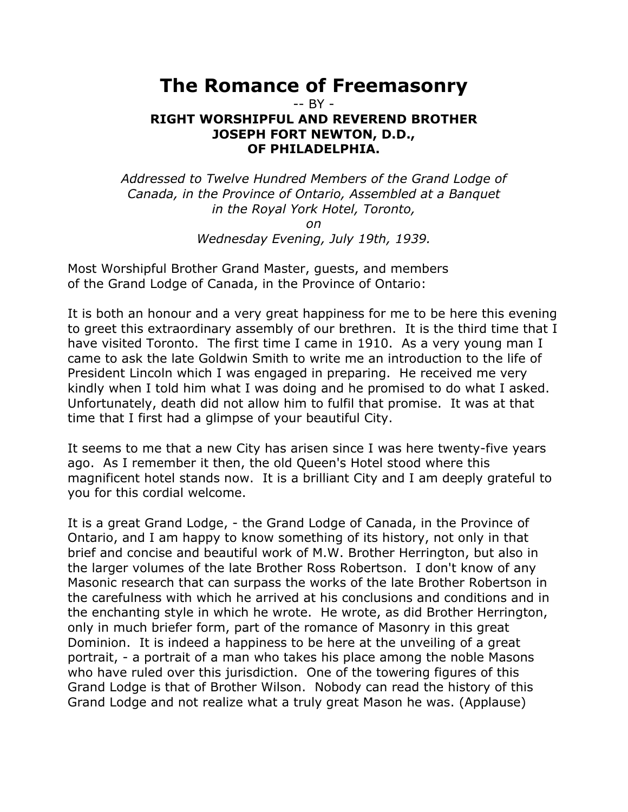## **The Romance of Freemasonry**

-- BY -

## **RIGHT WORSHIPFUL AND REVEREND BROTHER JOSEPH FORT NEWTON, D.D., OF PHILADELPHIA.**

*Addressed to Twelve Hundred Members of the Grand Lodge of Canada, in the Province of Ontario, Assembled at a Banquet in the Royal York Hotel, Toronto,* 

*on* 

*Wednesday Evening, July 19th, 1939.* 

Most Worshipful Brother Grand Master, guests, and members of the Grand Lodge of Canada, in the Province of Ontario:

It is both an honour and a very great happiness for me to be here this evening to greet this extraordinary assembly of our brethren. It is the third time that I have visited Toronto. The first time I came in 1910. As a very young man I came to ask the late Goldwin Smith to write me an introduction to the life of President Lincoln which I was engaged in preparing. He received me very kindly when I told him what I was doing and he promised to do what I asked. Unfortunately, death did not allow him to fulfil that promise. It was at that time that I first had a glimpse of your beautiful City.

It seems to me that a new City has arisen since I was here twenty-five years ago. As I remember it then, the old Queen's Hotel stood where this magnificent hotel stands now. It is a brilliant City and I am deeply grateful to you for this cordial welcome.

It is a great Grand Lodge, - the Grand Lodge of Canada, in the Province of Ontario, and I am happy to know something of its history, not only in that brief and concise and beautiful work of M.W. Brother Herrington, but also in the larger volumes of the late Brother Ross Robertson. I don't know of any Masonic research that can surpass the works of the late Brother Robertson in the carefulness with which he arrived at his conclusions and conditions and in the enchanting style in which he wrote. He wrote, as did Brother Herrington, only in much briefer form, part of the romance of Masonry in this great Dominion. It is indeed a happiness to be here at the unveiling of a great portrait, - a portrait of a man who takes his place among the noble Masons who have ruled over this jurisdiction. One of the towering figures of this Grand Lodge is that of Brother Wilson. Nobody can read the history of this Grand Lodge and not realize what a truly great Mason he was. (Applause)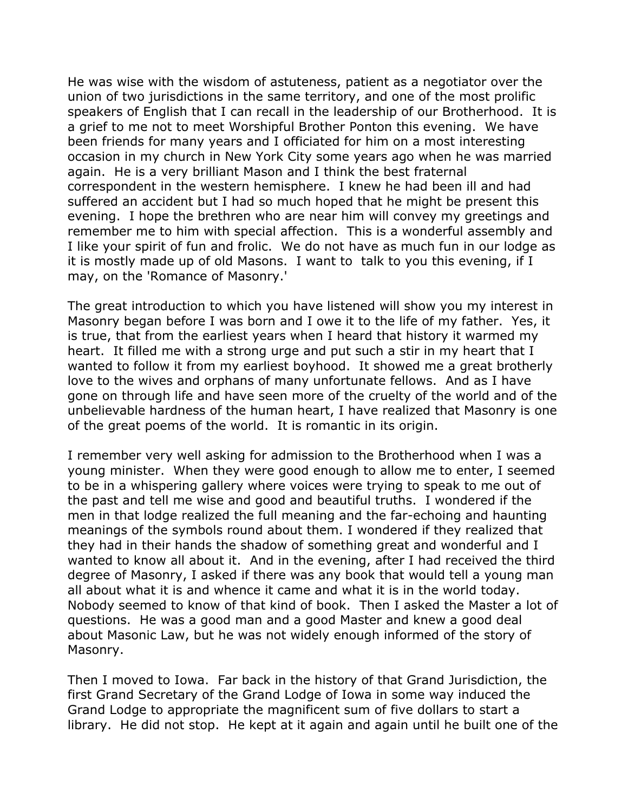He was wise with the wisdom of astuteness, patient as a negotiator over the union of two jurisdictions in the same territory, and one of the most prolific speakers of English that I can recall in the leadership of our Brotherhood. It is a grief to me not to meet Worshipful Brother Ponton this evening. We have been friends for many years and I officiated for him on a most interesting occasion in my church in New York City some years ago when he was married again. He is a very brilliant Mason and I think the best fraternal correspondent in the western hemisphere. I knew he had been ill and had suffered an accident but I had so much hoped that he might be present this evening. I hope the brethren who are near him will convey my greetings and remember me to him with special affection. This is a wonderful assembly and I like your spirit of fun and frolic. We do not have as much fun in our lodge as it is mostly made up of old Masons. I want to talk to you this evening, if I may, on the 'Romance of Masonry.'

The great introduction to which you have listened will show you my interest in Masonry began before I was born and I owe it to the life of my father. Yes, it is true, that from the earliest years when I heard that history it warmed my heart. It filled me with a strong urge and put such a stir in my heart that I wanted to follow it from my earliest boyhood. It showed me a great brotherly love to the wives and orphans of many unfortunate fellows. And as I have gone on through life and have seen more of the cruelty of the world and of the unbelievable hardness of the human heart, I have realized that Masonry is one of the great poems of the world. It is romantic in its origin.

I remember very well asking for admission to the Brotherhood when I was a young minister. When they were good enough to allow me to enter, I seemed to be in a whispering gallery where voices were trying to speak to me out of the past and tell me wise and good and beautiful truths. I wondered if the men in that lodge realized the full meaning and the far-echoing and haunting meanings of the symbols round about them. I wondered if they realized that they had in their hands the shadow of something great and wonderful and I wanted to know all about it. And in the evening, after I had received the third degree of Masonry, I asked if there was any book that would tell a young man all about what it is and whence it came and what it is in the world today. Nobody seemed to know of that kind of book. Then I asked the Master a lot of questions. He was a good man and a good Master and knew a good deal about Masonic Law, but he was not widely enough informed of the story of Masonry.

Then I moved to Iowa. Far back in the history of that Grand Jurisdiction, the first Grand Secretary of the Grand Lodge of Iowa in some way induced the Grand Lodge to appropriate the magnificent sum of five dollars to start a library. He did not stop. He kept at it again and again until he built one of the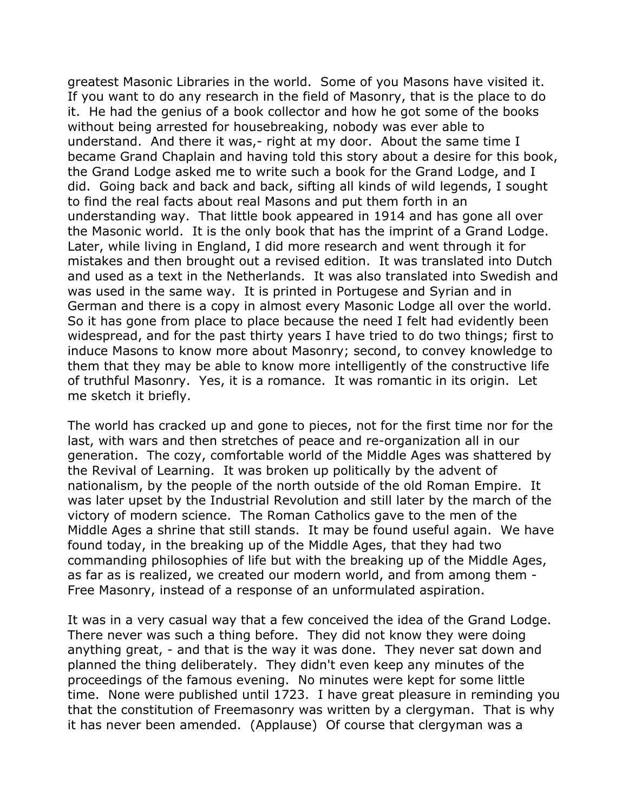greatest Masonic Libraries in the world. Some of you Masons have visited it. If you want to do any research in the field of Masonry, that is the place to do it. He had the genius of a book collector and how he got some of the books without being arrested for housebreaking, nobody was ever able to understand. And there it was,- right at my door. About the same time I became Grand Chaplain and having told this story about a desire for this book, the Grand Lodge asked me to write such a book for the Grand Lodge, and I did. Going back and back and back, sifting all kinds of wild legends, I sought to find the real facts about real Masons and put them forth in an understanding way. That little book appeared in 1914 and has gone all over the Masonic world. It is the only book that has the imprint of a Grand Lodge. Later, while living in England, I did more research and went through it for mistakes and then brought out a revised edition. It was translated into Dutch and used as a text in the Netherlands. It was also translated into Swedish and was used in the same way. It is printed in Portugese and Syrian and in German and there is a copy in almost every Masonic Lodge all over the world. So it has gone from place to place because the need I felt had evidently been widespread, and for the past thirty years I have tried to do two things; first to induce Masons to know more about Masonry; second, to convey knowledge to them that they may be able to know more intelligently of the constructive life of truthful Masonry. Yes, it is a romance. It was romantic in its origin. Let me sketch it briefly.

The world has cracked up and gone to pieces, not for the first time nor for the last, with wars and then stretches of peace and re-organization all in our generation. The cozy, comfortable world of the Middle Ages was shattered by the Revival of Learning. It was broken up politically by the advent of nationalism, by the people of the north outside of the old Roman Empire. It was later upset by the Industrial Revolution and still later by the march of the victory of modern science. The Roman Catholics gave to the men of the Middle Ages a shrine that still stands. It may be found useful again. We have found today, in the breaking up of the Middle Ages, that they had two commanding philosophies of life but with the breaking up of the Middle Ages, as far as is realized, we created our modern world, and from among them - Free Masonry, instead of a response of an unformulated aspiration.

It was in a very casual way that a few conceived the idea of the Grand Lodge. There never was such a thing before. They did not know they were doing anything great, - and that is the way it was done. They never sat down and planned the thing deliberately. They didn't even keep any minutes of the proceedings of the famous evening. No minutes were kept for some little time. None were published until 1723. I have great pleasure in reminding you that the constitution of Freemasonry was written by a clergyman. That is why it has never been amended. (Applause) Of course that clergyman was a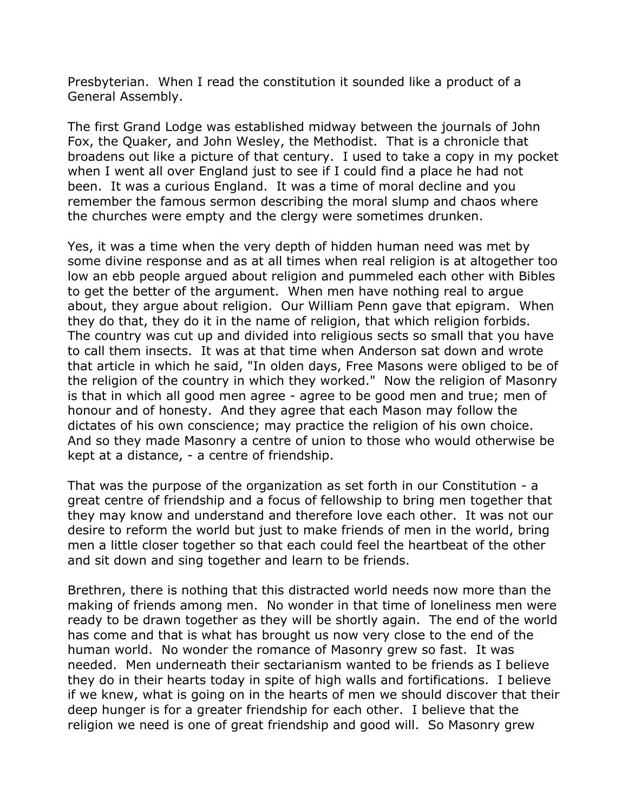Presbyterian. When I read the constitution it sounded like a product of a General Assembly.

The first Grand Lodge was established midway between the journals of John Fox, the Quaker, and John Wesley, the Methodist. That is a chronicle that broadens out like a picture of that century. I used to take a copy in my pocket when I went all over England just to see if I could find a place he had not been. It was a curious England. It was a time of moral decline and you remember the famous sermon describing the moral slump and chaos where the churches were empty and the clergy were sometimes drunken.

Yes, it was a time when the very depth of hidden human need was met by some divine response and as at all times when real religion is at altogether too low an ebb people argued about religion and pummeled each other with Bibles to get the better of the argument. When men have nothing real to argue about, they argue about religion. Our William Penn gave that epigram. When they do that, they do it in the name of religion, that which religion forbids. The country was cut up and divided into religious sects so small that you have to call them insects. It was at that time when Anderson sat down and wrote that article in which he said, "In olden days, Free Masons were obliged to be of the religion of the country in which they worked." Now the religion of Masonry is that in which all good men agree - agree to be good men and true; men of honour and of honesty. And they agree that each Mason may follow the dictates of his own conscience; may practice the religion of his own choice. And so they made Masonry a centre of union to those who would otherwise be kept at a distance, - a centre of friendship.

That was the purpose of the organization as set forth in our Constitution - a great centre of friendship and a focus of fellowship to bring men together that they may know and understand and therefore love each other. It was not our desire to reform the world but just to make friends of men in the world, bring men a little closer together so that each could feel the heartbeat of the other and sit down and sing together and learn to be friends.

Brethren, there is nothing that this distracted world needs now more than the making of friends among men. No wonder in that time of loneliness men were ready to be drawn together as they will be shortly again. The end of the world has come and that is what has brought us now very close to the end of the human world. No wonder the romance of Masonry grew so fast. It was needed. Men underneath their sectarianism wanted to be friends as I believe they do in their hearts today in spite of high walls and fortifications. I believe if we knew, what is going on in the hearts of men we should discover that their deep hunger is for a greater friendship for each other. I believe that the religion we need is one of great friendship and good will. So Masonry grew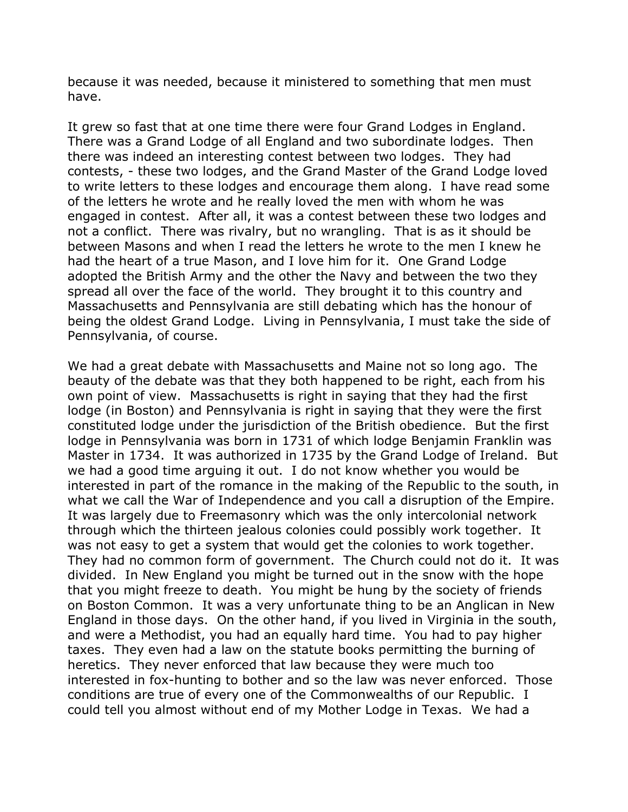because it was needed, because it ministered to something that men must have.

It grew so fast that at one time there were four Grand Lodges in England. There was a Grand Lodge of all England and two subordinate lodges. Then there was indeed an interesting contest between two lodges. They had contests, - these two lodges, and the Grand Master of the Grand Lodge loved to write letters to these lodges and encourage them along. I have read some of the letters he wrote and he really loved the men with whom he was engaged in contest. After all, it was a contest between these two lodges and not a conflict. There was rivalry, but no wrangling. That is as it should be between Masons and when I read the letters he wrote to the men I knew he had the heart of a true Mason, and I love him for it. One Grand Lodge adopted the British Army and the other the Navy and between the two they spread all over the face of the world. They brought it to this country and Massachusetts and Pennsylvania are still debating which has the honour of being the oldest Grand Lodge. Living in Pennsylvania, I must take the side of Pennsylvania, of course.

We had a great debate with Massachusetts and Maine not so long ago. The beauty of the debate was that they both happened to be right, each from his own point of view. Massachusetts is right in saying that they had the first lodge (in Boston) and Pennsylvania is right in saying that they were the first constituted lodge under the jurisdiction of the British obedience. But the first lodge in Pennsylvania was born in 1731 of which lodge Benjamin Franklin was Master in 1734. It was authorized in 1735 by the Grand Lodge of Ireland. But we had a good time arguing it out. I do not know whether you would be interested in part of the romance in the making of the Republic to the south, in what we call the War of Independence and you call a disruption of the Empire. It was largely due to Freemasonry which was the only intercolonial network through which the thirteen jealous colonies could possibly work together. It was not easy to get a system that would get the colonies to work together. They had no common form of government. The Church could not do it. It was divided. In New England you might be turned out in the snow with the hope that you might freeze to death. You might be hung by the society of friends on Boston Common. It was a very unfortunate thing to be an Anglican in New England in those days. On the other hand, if you lived in Virginia in the south, and were a Methodist, you had an equally hard time. You had to pay higher taxes. They even had a law on the statute books permitting the burning of heretics. They never enforced that law because they were much too interested in fox-hunting to bother and so the law was never enforced. Those conditions are true of every one of the Commonwealths of our Republic. I could tell you almost without end of my Mother Lodge in Texas. We had a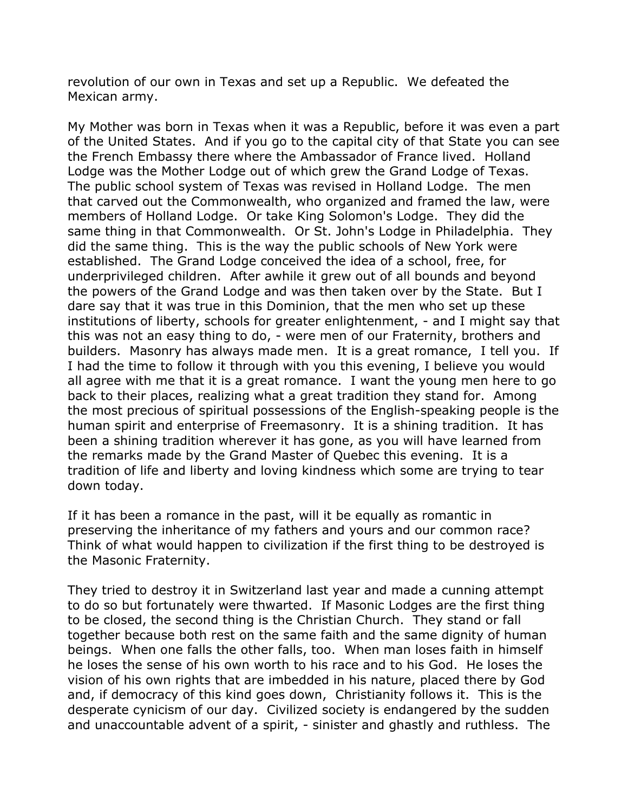revolution of our own in Texas and set up a Republic. We defeated the Mexican army.

My Mother was born in Texas when it was a Republic, before it was even a part of the United States. And if you go to the capital city of that State you can see the French Embassy there where the Ambassador of France lived. Holland Lodge was the Mother Lodge out of which grew the Grand Lodge of Texas. The public school system of Texas was revised in Holland Lodge. The men that carved out the Commonwealth, who organized and framed the law, were members of Holland Lodge. Or take King Solomon's Lodge. They did the same thing in that Commonwealth. Or St. John's Lodge in Philadelphia. They did the same thing. This is the way the public schools of New York were established. The Grand Lodge conceived the idea of a school, free, for underprivileged children. After awhile it grew out of all bounds and beyond the powers of the Grand Lodge and was then taken over by the State. But I dare say that it was true in this Dominion, that the men who set up these institutions of liberty, schools for greater enlightenment, - and I might say that this was not an easy thing to do, - were men of our Fraternity, brothers and builders. Masonry has always made men. It is a great romance, I tell you. If I had the time to follow it through with you this evening, I believe you would all agree with me that it is a great romance. I want the young men here to go back to their places, realizing what a great tradition they stand for. Among the most precious of spiritual possessions of the English-speaking people is the human spirit and enterprise of Freemasonry. It is a shining tradition. It has been a shining tradition wherever it has gone, as you will have learned from the remarks made by the Grand Master of Quebec this evening. It is a tradition of life and liberty and loving kindness which some are trying to tear down today.

If it has been a romance in the past, will it be equally as romantic in preserving the inheritance of my fathers and yours and our common race? Think of what would happen to civilization if the first thing to be destroyed is the Masonic Fraternity.

They tried to destroy it in Switzerland last year and made a cunning attempt to do so but fortunately were thwarted. If Masonic Lodges are the first thing to be closed, the second thing is the Christian Church. They stand or fall together because both rest on the same faith and the same dignity of human beings. When one falls the other falls, too. When man loses faith in himself he loses the sense of his own worth to his race and to his God. He loses the vision of his own rights that are imbedded in his nature, placed there by God and, if democracy of this kind goes down, Christianity follows it. This is the desperate cynicism of our day. Civilized society is endangered by the sudden and unaccountable advent of a spirit, - sinister and ghastly and ruthless. The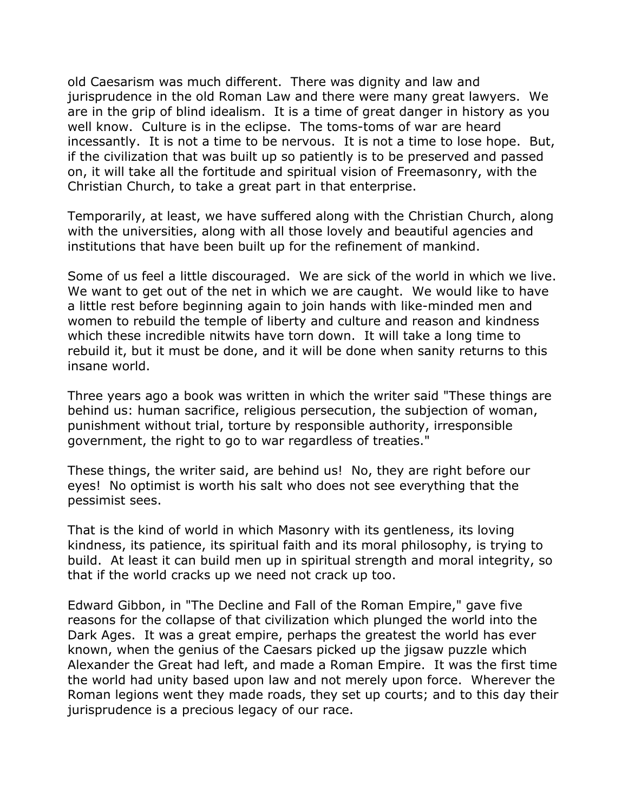old Caesarism was much different. There was dignity and law and jurisprudence in the old Roman Law and there were many great lawyers. We are in the grip of blind idealism. It is a time of great danger in history as you well know. Culture is in the eclipse. The toms-toms of war are heard incessantly. It is not a time to be nervous. It is not a time to lose hope. But, if the civilization that was built up so patiently is to be preserved and passed on, it will take all the fortitude and spiritual vision of Freemasonry, with the Christian Church, to take a great part in that enterprise.

Temporarily, at least, we have suffered along with the Christian Church, along with the universities, along with all those lovely and beautiful agencies and institutions that have been built up for the refinement of mankind.

Some of us feel a little discouraged. We are sick of the world in which we live. We want to get out of the net in which we are caught. We would like to have a little rest before beginning again to join hands with like-minded men and women to rebuild the temple of liberty and culture and reason and kindness which these incredible nitwits have torn down. It will take a long time to rebuild it, but it must be done, and it will be done when sanity returns to this insane world.

Three years ago a book was written in which the writer said "These things are behind us: human sacrifice, religious persecution, the subjection of woman, punishment without trial, torture by responsible authority, irresponsible government, the right to go to war regardless of treaties."

These things, the writer said, are behind us! No, they are right before our eyes! No optimist is worth his salt who does not see everything that the pessimist sees.

That is the kind of world in which Masonry with its gentleness, its loving kindness, its patience, its spiritual faith and its moral philosophy, is trying to build. At least it can build men up in spiritual strength and moral integrity, so that if the world cracks up we need not crack up too.

Edward Gibbon, in "The Decline and Fall of the Roman Empire," gave five reasons for the collapse of that civilization which plunged the world into the Dark Ages. It was a great empire, perhaps the greatest the world has ever known, when the genius of the Caesars picked up the jigsaw puzzle which Alexander the Great had left, and made a Roman Empire. It was the first time the world had unity based upon law and not merely upon force. Wherever the Roman legions went they made roads, they set up courts; and to this day their jurisprudence is a precious legacy of our race.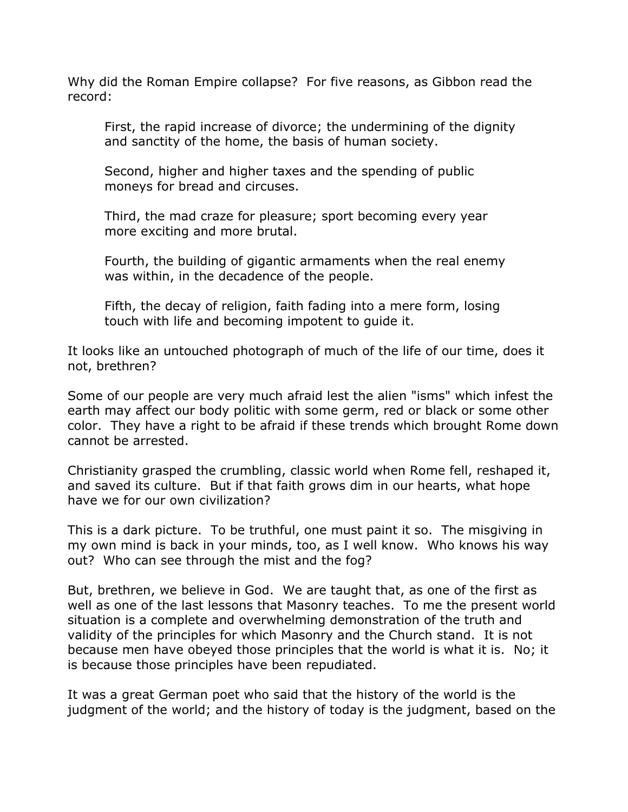Why did the Roman Empire collapse? For five reasons, as Gibbon read the record:

First, the rapid increase of divorce; the undermining of the dignity and sanctity of the home, the basis of human society.

Second, higher and higher taxes and the spending of public moneys for bread and circuses.

Third, the mad craze for pleasure; sport becoming every year more exciting and more brutal.

Fourth, the building of gigantic armaments when the real enemy was within, in the decadence of the people.

Fifth, the decay of religion, faith fading into a mere form, losing touch with life and becoming impotent to guide it.

It looks like an untouched photograph of much of the life of our time, does it not, brethren?

Some of our people are very much afraid lest the alien "isms" which infest the earth may affect our body politic with some germ, red or black or some other color. They have a right to be afraid if these trends which brought Rome down cannot be arrested.

Christianity grasped the crumbling, classic world when Rome fell, reshaped it, and saved its culture. But if that faith grows dim in our hearts, what hope have we for our own civilization?

This is a dark picture. To be truthful, one must paint it so. The misgiving in my own mind is back in your minds, too, as I well know. Who knows his way out? Who can see through the mist and the fog?

But, brethren, we believe in God. We are taught that, as one of the first as well as one of the last lessons that Masonry teaches. To me the present world situation is a complete and overwhelming demonstration of the truth and validity of the principles for which Masonry and the Church stand. It is not because men have obeyed those principles that the world is what it is. No; it is because those principles have been repudiated.

It was a great German poet who said that the history of the world is the judgment of the world; and the history of today is the judgment, based on the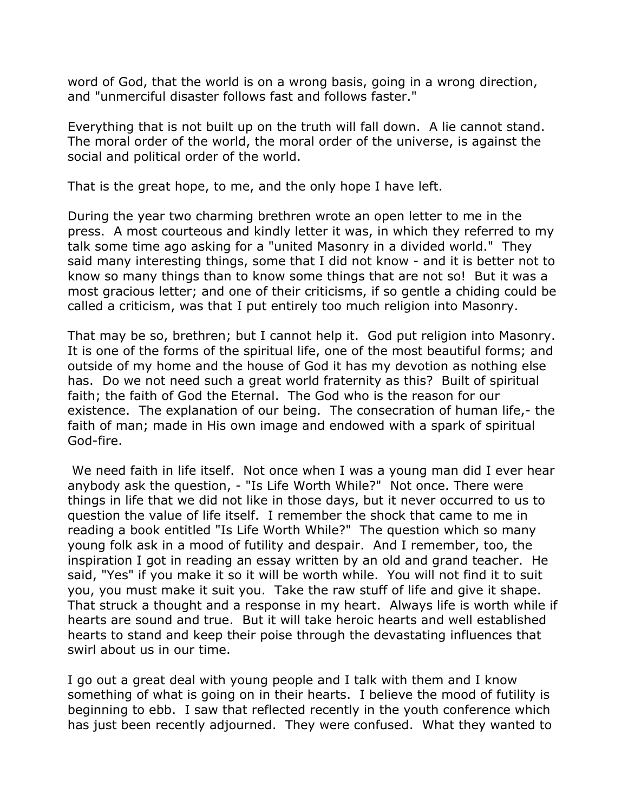word of God, that the world is on a wrong basis, going in a wrong direction, and "unmerciful disaster follows fast and follows faster."

Everything that is not built up on the truth will fall down. A lie cannot stand. The moral order of the world, the moral order of the universe, is against the social and political order of the world.

That is the great hope, to me, and the only hope I have left.

During the year two charming brethren wrote an open letter to me in the press. A most courteous and kindly letter it was, in which they referred to my talk some time ago asking for a "united Masonry in a divided world." They said many interesting things, some that I did not know - and it is better not to know so many things than to know some things that are not so! But it was a most gracious letter; and one of their criticisms, if so gentle a chiding could be called a criticism, was that I put entirely too much religion into Masonry.

That may be so, brethren; but I cannot help it. God put religion into Masonry. It is one of the forms of the spiritual life, one of the most beautiful forms; and outside of my home and the house of God it has my devotion as nothing else has. Do we not need such a great world fraternity as this? Built of spiritual faith; the faith of God the Eternal. The God who is the reason for our existence. The explanation of our being. The consecration of human life,- the faith of man; made in His own image and endowed with a spark of spiritual God-fire.

 We need faith in life itself. Not once when I was a young man did I ever hear anybody ask the question, - "Is Life Worth While?" Not once. There were things in life that we did not like in those days, but it never occurred to us to question the value of life itself. I remember the shock that came to me in reading a book entitled "Is Life Worth While?" The question which so many young folk ask in a mood of futility and despair. And I remember, too, the inspiration I got in reading an essay written by an old and grand teacher. He said, "Yes" if you make it so it will be worth while. You will not find it to suit you, you must make it suit you. Take the raw stuff of life and give it shape. That struck a thought and a response in my heart. Always life is worth while if hearts are sound and true. But it will take heroic hearts and well established hearts to stand and keep their poise through the devastating influences that swirl about us in our time.

I go out a great deal with young people and I talk with them and I know something of what is going on in their hearts. I believe the mood of futility is beginning to ebb. I saw that reflected recently in the youth conference which has just been recently adjourned. They were confused. What they wanted to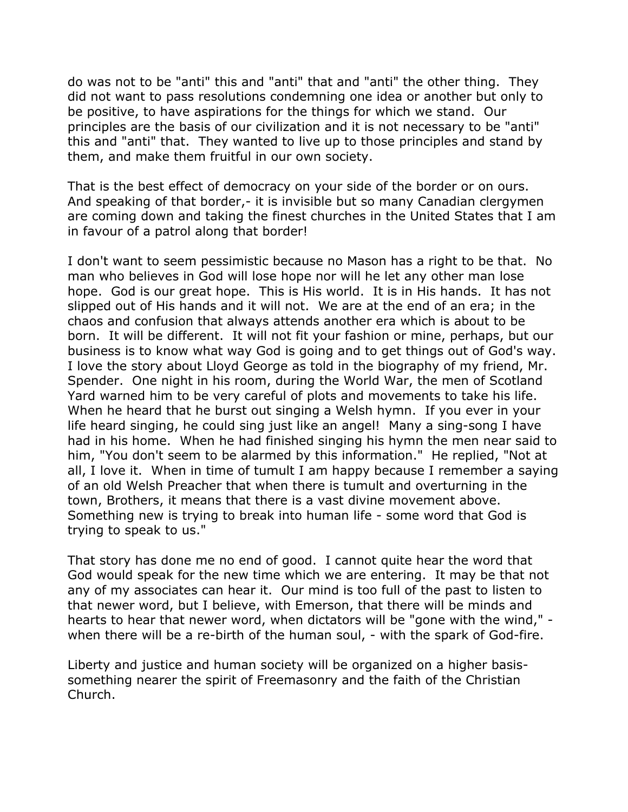do was not to be "anti" this and "anti" that and "anti" the other thing. They did not want to pass resolutions condemning one idea or another but only to be positive, to have aspirations for the things for which we stand. Our principles are the basis of our civilization and it is not necessary to be "anti" this and "anti" that. They wanted to live up to those principles and stand by them, and make them fruitful in our own society.

That is the best effect of democracy on your side of the border or on ours. And speaking of that border,- it is invisible but so many Canadian clergymen are coming down and taking the finest churches in the United States that I am in favour of a patrol along that border!

I don't want to seem pessimistic because no Mason has a right to be that. No man who believes in God will lose hope nor will he let any other man lose hope. God is our great hope. This is His world. It is in His hands. It has not slipped out of His hands and it will not. We are at the end of an era; in the chaos and confusion that always attends another era which is about to be born. It will be different. It will not fit your fashion or mine, perhaps, but our business is to know what way God is going and to get things out of God's way. I love the story about Lloyd George as told in the biography of my friend, Mr. Spender. One night in his room, during the World War, the men of Scotland Yard warned him to be very careful of plots and movements to take his life. When he heard that he burst out singing a Welsh hymn. If you ever in your life heard singing, he could sing just like an angel! Many a sing-song I have had in his home. When he had finished singing his hymn the men near said to him, "You don't seem to be alarmed by this information." He replied, "Not at all, I love it. When in time of tumult I am happy because I remember a saying of an old Welsh Preacher that when there is tumult and overturning in the town, Brothers, it means that there is a vast divine movement above. Something new is trying to break into human life - some word that God is trying to speak to us."

That story has done me no end of good. I cannot quite hear the word that God would speak for the new time which we are entering. It may be that not any of my associates can hear it. Our mind is too full of the past to listen to that newer word, but I believe, with Emerson, that there will be minds and hearts to hear that newer word, when dictators will be "gone with the wind," when there will be a re-birth of the human soul, - with the spark of God-fire.

Liberty and justice and human society will be organized on a higher basissomething nearer the spirit of Freemasonry and the faith of the Christian Church.